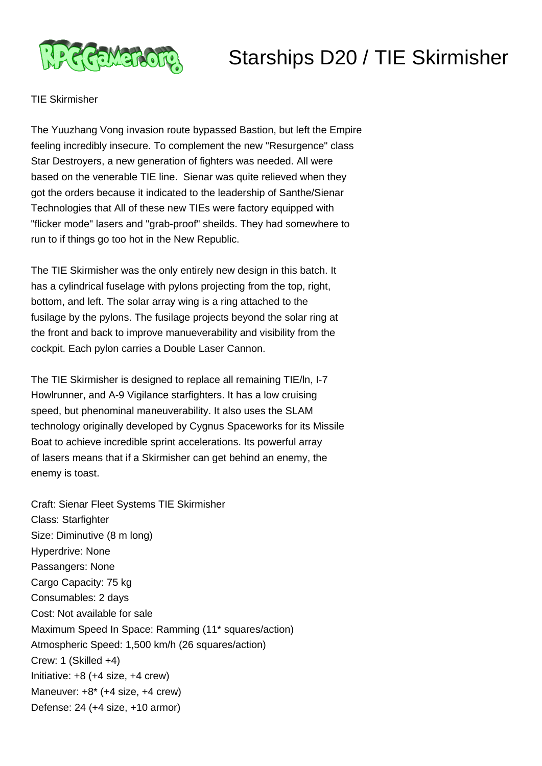



## TIE Skirmisher

The Yuuzhang Vong invasion route bypassed Bastion, but left the Empire feeling incredibly insecure. To complement the new "Resurgence" class Star Destroyers, a new generation of fighters was needed. All were based on the venerable TIE line. Sienar was quite relieved when they got the orders because it indicated to the leadership of Santhe/Sienar Technologies that All of these new TIEs were factory equipped with "flicker mode" lasers and "grab-proof" sheilds. They had somewhere to run to if things go too hot in the New Republic.

The TIE Skirmisher was the only entirely new design in this batch. It has a cylindrical fuselage with pylons projecting from the top, right, bottom, and left. The solar array wing is a ring attached to the fusilage by the pylons. The fusilage projects beyond the solar ring at the front and back to improve manueverability and visibility from the cockpit. Each pylon carries a Double Laser Cannon.

The TIE Skirmisher is designed to replace all remaining TIE/ln, I-7 Howlrunner, and A-9 Vigilance starfighters. It has a low cruising speed, but phenominal maneuverability. It also uses the SLAM technology originally developed by Cygnus Spaceworks for its Missile Boat to achieve incredible sprint accelerations. Its powerful array of lasers means that if a Skirmisher can get behind an enemy, the enemy is toast.

Craft: Sienar Fleet Systems TIE Skirmisher Class: Starfighter Size: Diminutive (8 m long) Hyperdrive: None Passangers: None Cargo Capacity: 75 kg Consumables: 2 days Cost: Not available for sale Maximum Speed In Space: Ramming (11\* squares/action) Atmospheric Speed: 1,500 km/h (26 squares/action) Crew: 1 (Skilled +4) Initiative: +8 (+4 size, +4 crew) Maneuver: +8\* (+4 size, +4 crew) Defense: 24 (+4 size, +10 armor)